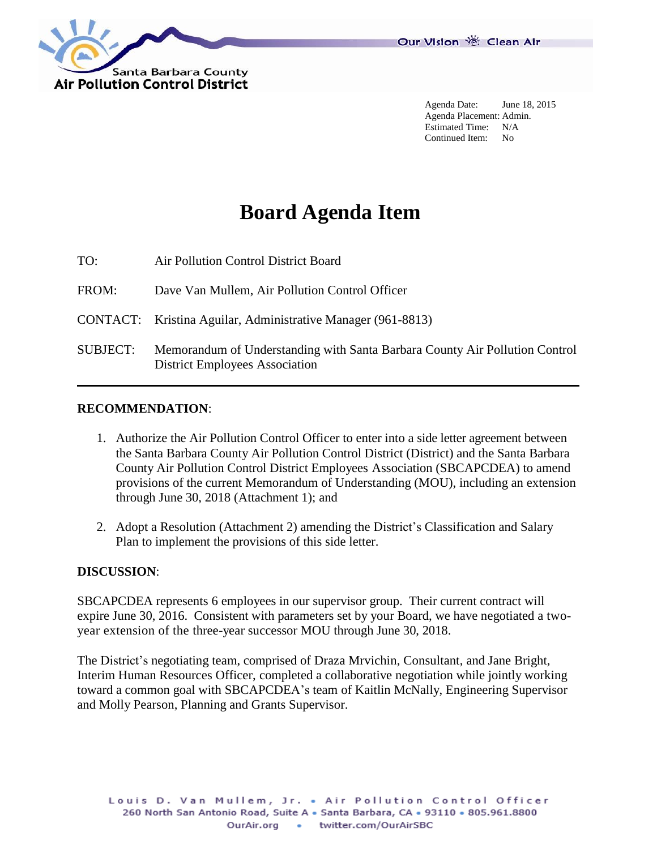

Agenda Date: June 18, 2015 Agenda Placement: Admin. Estimated Time: N/A Continued Item: No

# **Board Agenda Item**

TO: Air Pollution Control District Board

FROM: Dave Van Mullem, Air Pollution Control Officer

CONTACT: Kristina Aguilar, Administrative Manager (961-8813)

SUBJECT: Memorandum of Understanding with Santa Barbara County Air Pollution Control District Employees Association

### **RECOMMENDATION**:

- 1. Authorize the Air Pollution Control Officer to enter into a side letter agreement between the Santa Barbara County Air Pollution Control District (District) and the Santa Barbara County Air Pollution Control District Employees Association (SBCAPCDEA) to amend provisions of the current Memorandum of Understanding (MOU), including an extension through June 30, 2018 (Attachment 1); and
- 2. Adopt a Resolution (Attachment 2) amending the District's Classification and Salary Plan to implement the provisions of this side letter.

#### **DISCUSSION**:

SBCAPCDEA represents 6 employees in our supervisor group. Their current contract will expire June 30, 2016. Consistent with parameters set by your Board, we have negotiated a twoyear extension of the three-year successor MOU through June 30, 2018.

The District's negotiating team, comprised of Draza Mrvichin, Consultant, and Jane Bright, Interim Human Resources Officer, completed a collaborative negotiation while jointly working toward a common goal with SBCAPCDEA's team of Kaitlin McNally, Engineering Supervisor and Molly Pearson, Planning and Grants Supervisor.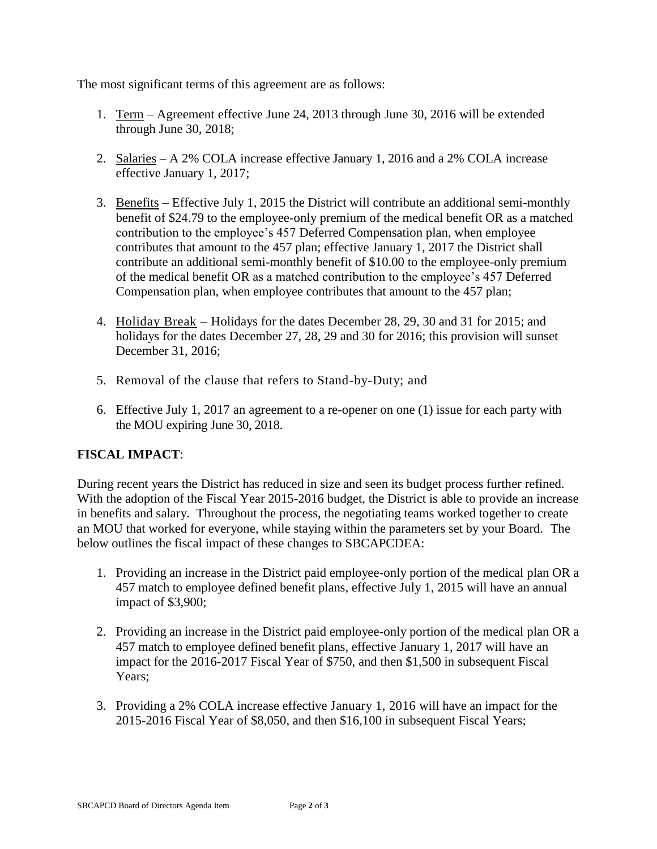The most significant terms of this agreement are as follows:

- 1. Term Agreement effective June 24, 2013 through June 30, 2016 will be extended through June 30, 2018;
- 2. Salaries A 2% COLA increase effective January 1, 2016 and a 2% COLA increase effective January 1, 2017;
- 3. Benefits Effective July 1, 2015 the District will contribute an additional semi-monthly benefit of \$24.79 to the employee-only premium of the medical benefit OR as a matched contribution to the employee's 457 Deferred Compensation plan, when employee contributes that amount to the 457 plan; effective January 1, 2017 the District shall contribute an additional semi-monthly benefit of \$10.00 to the employee-only premium of the medical benefit OR as a matched contribution to the employee's 457 Deferred Compensation plan, when employee contributes that amount to the 457 plan;
- 4. Holiday Break Holidays for the dates December 28, 29, 30 and 31 for 2015; and holidays for the dates December 27, 28, 29 and 30 for 2016; this provision will sunset December 31, 2016;
- 5. Removal of the clause that refers to Stand-by-Duty; and
- 6. Effective July 1, 2017 an agreement to a re-opener on one (1) issue for each party with the MOU expiring June 30, 2018.

## **FISCAL IMPACT**:

During recent years the District has reduced in size and seen its budget process further refined. With the adoption of the Fiscal Year 2015-2016 budget, the District is able to provide an increase in benefits and salary. Throughout the process, the negotiating teams worked together to create an MOU that worked for everyone, while staying within the parameters set by your Board. The below outlines the fiscal impact of these changes to SBCAPCDEA:

- 1. Providing an increase in the District paid employee-only portion of the medical plan OR a 457 match to employee defined benefit plans, effective July 1, 2015 will have an annual impact of \$3,900;
- 2. Providing an increase in the District paid employee-only portion of the medical plan OR a 457 match to employee defined benefit plans, effective January 1, 2017 will have an impact for the 2016-2017 Fiscal Year of \$750, and then \$1,500 in subsequent Fiscal Years;
- 3. Providing a 2% COLA increase effective January 1, 2016 will have an impact for the 2015-2016 Fiscal Year of \$8,050, and then \$16,100 in subsequent Fiscal Years;